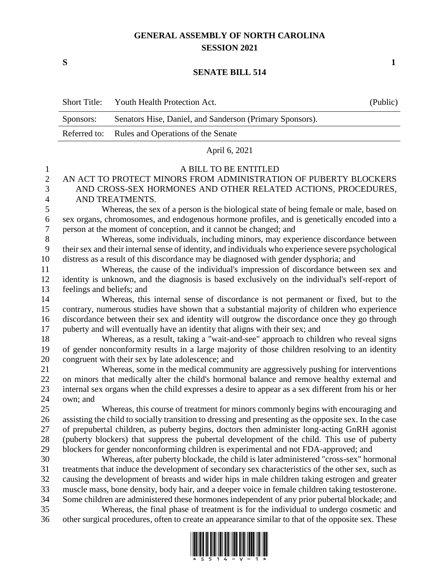## **GENERAL ASSEMBLY OF NORTH CAROLINA SESSION 2021**

**S 1**

## **SENATE BILL 514**

|                       | <b>Short Title:</b>                                                                            | Youth Health Protection Act.                                                                                                                                                          | (Public) |
|-----------------------|------------------------------------------------------------------------------------------------|---------------------------------------------------------------------------------------------------------------------------------------------------------------------------------------|----------|
|                       | Sponsors:                                                                                      | Senators Hise, Daniel, and Sanderson (Primary Sponsors).                                                                                                                              |          |
|                       | Referred to:                                                                                   | Rules and Operations of the Senate                                                                                                                                                    |          |
|                       |                                                                                                | April 6, 2021                                                                                                                                                                         |          |
| $\mathbf{1}$          |                                                                                                | A BILL TO BE ENTITLED                                                                                                                                                                 |          |
| $\overline{c}$        |                                                                                                | AN ACT TO PROTECT MINORS FROM ADMINISTRATION OF PUBERTY BLOCKERS                                                                                                                      |          |
| 3                     |                                                                                                | AND CROSS-SEX HORMONES AND OTHER RELATED ACTIONS, PROCEDURES,                                                                                                                         |          |
| $\overline{4}$        |                                                                                                | AND TREATMENTS.                                                                                                                                                                       |          |
| 5                     |                                                                                                | Whereas, the sex of a person is the biological state of being female or male, based on                                                                                                |          |
| 6<br>$\boldsymbol{7}$ |                                                                                                | sex organs, chromosomes, and endogenous hormone profiles, and is genetically encoded into a                                                                                           |          |
| $8\,$                 |                                                                                                | person at the moment of conception, and it cannot be changed; and<br>Whereas, some individuals, including minors, may experience discordance between                                  |          |
| 9                     |                                                                                                | their sex and their internal sense of identity, and individuals who experience severe psychological                                                                                   |          |
| 10                    |                                                                                                | distress as a result of this discordance may be diagnosed with gender dysphoria; and                                                                                                  |          |
| 11                    |                                                                                                | Whereas, the cause of the individual's impression of discordance between sex and                                                                                                      |          |
| 12                    | identity is unknown, and the diagnosis is based exclusively on the individual's self-report of |                                                                                                                                                                                       |          |
| 13                    | feelings and beliefs; and                                                                      |                                                                                                                                                                                       |          |
| 14                    |                                                                                                | Whereas, this internal sense of discordance is not permanent or fixed, but to the                                                                                                     |          |
| 15                    |                                                                                                | contrary, numerous studies have shown that a substantial majority of children who experience                                                                                          |          |
| 16                    |                                                                                                | discordance between their sex and identity will outgrow the discordance once they go through                                                                                          |          |
| 17                    |                                                                                                | puberty and will eventually have an identity that aligns with their sex; and                                                                                                          |          |
| 18<br>19              |                                                                                                | Whereas, as a result, taking a "wait-and-see" approach to children who reveal signs<br>of gender nonconformity results in a large majority of those children resolving to an identity |          |
| 20                    |                                                                                                | congruent with their sex by late adolescence; and                                                                                                                                     |          |
| 21                    |                                                                                                | Whereas, some in the medical community are aggressively pushing for interventions                                                                                                     |          |
| $22\,$                |                                                                                                | on minors that medically alter the child's hormonal balance and remove healthy external and                                                                                           |          |
| 23                    |                                                                                                | internal sex organs when the child expresses a desire to appear as a sex different from his or her                                                                                    |          |
| 24                    | own; and                                                                                       |                                                                                                                                                                                       |          |
| 25                    |                                                                                                | Whereas, this course of treatment for minors commonly begins with encouraging and                                                                                                     |          |
| 26                    |                                                                                                | assisting the child to socially transition to dressing and presenting as the opposite sex. In the case                                                                                |          |
| 27                    |                                                                                                | of prepubertal children, as puberty begins, doctors then administer long-acting GnRH agonist                                                                                          |          |
| 28                    |                                                                                                | (puberty blockers) that suppress the pubertal development of the child. This use of puberty<br>blockers for gender nonconforming children is experimental and not FDA-approved; and   |          |
| 29<br>30              |                                                                                                | Whereas, after puberty blockade, the child is later administered "cross-sex" hormonal                                                                                                 |          |
| 31                    |                                                                                                | treatments that induce the development of secondary sex characteristics of the other sex, such as                                                                                     |          |
| 32                    |                                                                                                | causing the development of breasts and wider hips in male children taking estrogen and greater                                                                                        |          |
| 33                    |                                                                                                | muscle mass, bone density, body hair, and a deeper voice in female children taking testosterone.                                                                                      |          |
| 34                    |                                                                                                | Some children are administered these hormones independent of any prior pubertal blockade; and                                                                                         |          |
| 35                    |                                                                                                | Whereas, the final phase of treatment is for the individual to undergo cosmetic and                                                                                                   |          |
| 36                    |                                                                                                | other surgical procedures, often to create an appearance similar to that of the opposite sex. These                                                                                   |          |

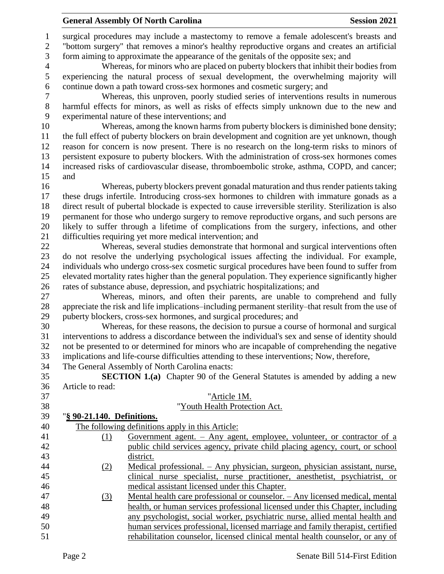surgical procedures may include a mastectomy to remove a female adolescent's breasts and "bottom surgery" that removes a minor's healthy reproductive organs and creates an artificial form aiming to approximate the appearance of the genitals of the opposite sex; and

 Whereas, for minors who are placed on puberty blockers that inhibit their bodies from experiencing the natural process of sexual development, the overwhelming majority will continue down a path toward cross-sex hormones and cosmetic surgery; and

 Whereas, this unproven, poorly studied series of interventions results in numerous harmful effects for minors, as well as risks of effects simply unknown due to the new and experimental nature of these interventions; and

 Whereas, among the known harms from puberty blockers is diminished bone density; the full effect of puberty blockers on brain development and cognition are yet unknown, though reason for concern is now present. There is no research on the long-term risks to minors of persistent exposure to puberty blockers. With the administration of cross-sex hormones comes increased risks of cardiovascular disease, thromboembolic stroke, asthma, COPD, and cancer; and

 Whereas, puberty blockers prevent gonadal maturation and thus render patients taking these drugs infertile. Introducing cross-sex hormones to children with immature gonads as a direct result of pubertal blockade is expected to cause irreversible sterility. Sterilization is also permanent for those who undergo surgery to remove reproductive organs, and such persons are likely to suffer through a lifetime of complications from the surgery, infections, and other difficulties requiring yet more medical intervention; and

 Whereas, several studies demonstrate that hormonal and surgical interventions often do not resolve the underlying psychological issues affecting the individual. For example, individuals who undergo cross-sex cosmetic surgical procedures have been found to suffer from elevated mortality rates higher than the general population. They experience significantly higher rates of substance abuse, depression, and psychiatric hospitalizations; and

 Whereas, minors, and often their parents, are unable to comprehend and fully appreciate the risk and life implications–including permanent sterility–that result from the use of puberty blockers, cross-sex hormones, and surgical procedures; and

 Whereas, for these reasons, the decision to pursue a course of hormonal and surgical interventions to address a discordance between the individual's sex and sense of identity should not be presented to or determined for minors who are incapable of comprehending the negative implications and life-course difficulties attending to these interventions; Now, therefore,

The General Assembly of North Carolina enacts:

 **SECTION 1.(a)** Chapter 90 of the General Statutes is amended by adding a new Article to read:

| 37 |                            | "Article 1M.                                                                   |
|----|----------------------------|--------------------------------------------------------------------------------|
| 38 |                            | "Youth Health Protection Act.                                                  |
| 39 | "§ 90-21.140. Definitions. |                                                                                |
| 40 |                            | The following definitions apply in this Article:                               |
| 41 | (1)                        | Government agent. $-$ Any agent, employee, volunteer, or contractor of a       |
| 42 |                            | public child services agency, private child placing agency, court, or school   |
| 43 |                            | district.                                                                      |
| 44 | (2)                        | Medical professional. - Any physician, surgeon, physician assistant, nurse,    |
| 45 |                            | clinical nurse specialist, nurse practitioner, anesthetist, psychiatrist, or   |
| 46 |                            | medical assistant licensed under this Chapter.                                 |
| 47 | (3)                        | Mental health care professional or counselor. - Any licensed medical, mental   |
| 48 |                            | health, or human services professional licensed under this Chapter, including  |
| 49 |                            | any psychologist, social worker, psychiatric nurse, allied mental health and   |
| 50 |                            | human services professional, licensed marriage and family therapist, certified |
| 51 |                            | rehabilitation counselor, licensed clinical mental health counselor, or any of |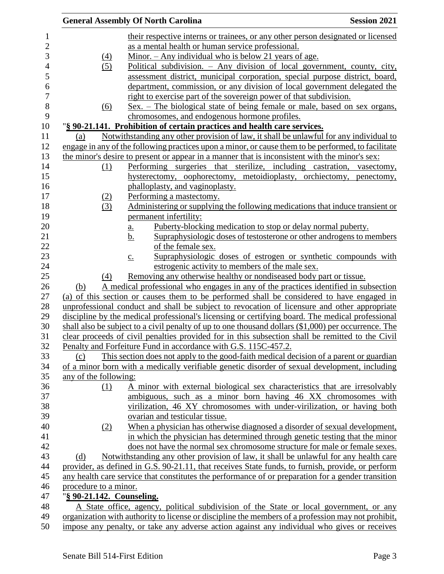|                           | <b>General Assembly Of North Carolina</b>                                                            | <b>Session 2021</b> |
|---------------------------|------------------------------------------------------------------------------------------------------|---------------------|
|                           | their respective interns or trainees, or any other person designated or licensed                     |                     |
|                           | as a mental health or human service professional.                                                    |                     |
| $\left(4\right)$          | Minor. $-$ Any individual who is below 21 years of age.                                              |                     |
| (5)                       | Political subdivision. $-$ Any division of local government, county, city,                           |                     |
|                           | assessment district, municipal corporation, special purpose district, board,                         |                     |
|                           | department, commission, or any division of local government delegated the                            |                     |
|                           | right to exercise part of the sovereign power of that subdivision.                                   |                     |
| (6)                       | <u>Sex. – The biological state of being female or male, based on sex organs,</u>                     |                     |
|                           | chromosomes, and endogenous hormone profiles.                                                        |                     |
|                           | "§ 90-21.141. Prohibition of certain practices and health care services.                             |                     |
| (a)                       | Notwithstanding any other provision of law, it shall be unlawful for any individual to               |                     |
|                           | engage in any of the following practices upon a minor, or cause them to be performed, to facilitate  |                     |
|                           | the minor's desire to present or appear in a manner that is inconsistent with the minor's sex:       |                     |
| (1)                       | Performing surgeries that sterilize, including castration, vasectomy,                                |                     |
|                           | hysterectomy, oophorectomy, metoidioplasty, orchiectomy, penectomy,                                  |                     |
|                           | phalloplasty, and vaginoplasty.                                                                      |                     |
| <u>(2)</u>                | Performing a mastectomy.                                                                             |                     |
| (3)                       | Administering or supplying the following medications that induce transient or                        |                     |
|                           | permanent infertility:                                                                               |                     |
|                           | Puberty-blocking medication to stop or delay normal puberty.<br><u>a.</u>                            |                     |
|                           | Supraphysiologic doses of testosterone or other androgens to members<br><u>b.</u>                    |                     |
|                           | of the female sex.                                                                                   |                     |
|                           | Supraphysiologic doses of estrogen or synthetic compounds with<br>$\underline{c}$ .                  |                     |
|                           | estrogenic activity to members of the male sex.                                                      |                     |
| (4)                       | Removing any otherwise healthy or nondiseased body part or tissue.                                   |                     |
| (b)                       | A medical professional who engages in any of the practices identified in subsection                  |                     |
|                           | (a) of this section or causes them to be performed shall be considered to have engaged in            |                     |
|                           | unprofessional conduct and shall be subject to revocation of licensure and other appropriate         |                     |
|                           | discipline by the medical professional's licensing or certifying board. The medical professional     |                     |
|                           | shall also be subject to a civil penalty of up to one thousand dollars (\$1,000) per occurrence. The |                     |
|                           | clear proceeds of civil penalties provided for in this subsection shall be remitted to the Civil     |                     |
|                           | Penalty and Forfeiture Fund in accordance with G.S. 115C-457.2.                                      |                     |
| (c)                       | This section does not apply to the good-faith medical decision of a parent or guardian               |                     |
|                           | of a minor born with a medically verifiable genetic disorder of sexual development, including        |                     |
| any of the following:     |                                                                                                      |                     |
| (1)                       | A minor with external biological sex characteristics that are irresolvably                           |                     |
|                           | ambiguous, such as a minor born having 46 XX chromosomes with                                        |                     |
|                           | virilization, 46 XY chromosomes with under-virilization, or having both                              |                     |
|                           | ovarian and testicular tissue.                                                                       |                     |
| (2)                       | When a physician has otherwise diagnosed a disorder of sexual development,                           |                     |
|                           | in which the physician has determined through genetic testing that the minor                         |                     |
|                           | does not have the normal sex chromosome structure for male or female sexes.                          |                     |
| (d)                       | Notwithstanding any other provision of law, it shall be unlawful for any health care                 |                     |
|                           | provider, as defined in G.S. 90-21.11, that receives State funds, to furnish, provide, or perform    |                     |
|                           | any health care service that constitutes the performance of or preparation for a gender transition   |                     |
| procedure to a minor.     |                                                                                                      |                     |
| "§ 90-21.142. Counseling. |                                                                                                      |                     |
|                           | A State office, agency, political subdivision of the State or local government, or any               |                     |
|                           | organization with authority to license or discipline the members of a profession may not prohibit,   |                     |
|                           | impose any penalty, or take any adverse action against any individual who gives or receives          |                     |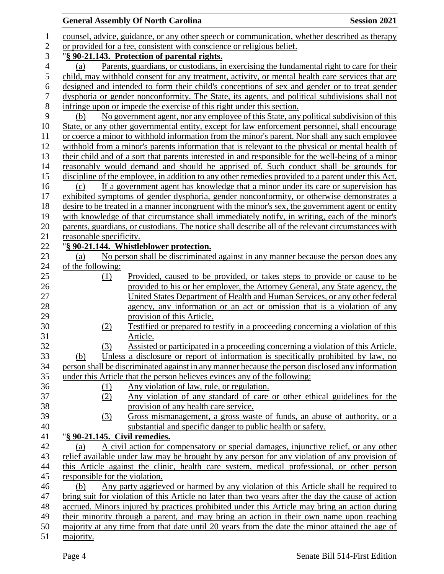| counsel, advice, guidance, or any other speech or communication, whether described as therapy<br>$\mathbf{1}$<br>or provided for a fee, consistent with conscience or religious belief.<br>$\mathbf{2}$<br>3<br>"§ 90-21.143. Protection of parental rights.<br>$\overline{\mathcal{A}}$<br>Parents, guardians, or custodians, in exercising the fundamental right to care for their<br>(a)<br>5<br>child, may withhold consent for any treatment, activity, or mental health care services that are<br>6<br>designed and intended to form their child's conceptions of sex and gender or to treat gender<br>$\boldsymbol{7}$<br>dysphoria or gender nonconformity. The State, its agents, and political subdivisions shall not<br>$8\,$<br>infringe upon or impede the exercise of this right under this section.<br>9<br>No government agent, nor any employee of this State, any political subdivision of this<br>(b)<br>State, or any other governmental entity, except for law enforcement personnel, shall encourage<br>10<br>or coerce a minor to withhold information from the minor's parent. Nor shall any such employee<br>11<br>12<br>withhold from a minor's parents information that is relevant to the physical or mental health of<br>13<br>their child and of a sort that parents interested in and responsible for the well-being of a minor<br>reasonably would demand and should be apprised of. Such conduct shall be grounds for<br>14<br>discipline of the employee, in addition to any other remedies provided to a parent under this Act.<br>15<br>16<br>If a government agent has knowledge that a minor under its care or supervision has<br>(c)<br>exhibited symptoms of gender dysphoria, gender nonconformity, or otherwise demonstrates a<br>17<br>18<br>desire to be treated in a manner incongruent with the minor's sex, the government agent or entity<br>19<br>with knowledge of that circumstance shall immediately notify, in writing, each of the minor's<br>20<br>parents, guardians, or custodians. The notice shall describe all of the relevant circumstances with<br>21<br>reasonable specificity.<br>22<br>"§ 90-21.144. Whistleblower protection.<br>No person shall be discriminated against in any manner because the person does any<br>23<br>(a)<br>24<br>of the following:<br>25<br>Provided, caused to be provided, or takes steps to provide or cause to be<br>(1)<br>26<br>provided to his or her employer, the Attorney General, any State agency, the<br>27<br>United States Department of Health and Human Services, or any other federal<br>28<br>agency, any information or an act or omission that is a violation of any<br>29<br>provision of this Article.<br>30<br>Testified or prepared to testify in a proceeding concerning a violation of this<br>(2)<br>31<br>Article.<br>32<br>Assisted or participated in a proceeding concerning a violation of this Article.<br>(3)<br>Unless a disclosure or report of information is specifically prohibited by law, no<br>33<br>(b)<br>34<br>person shall be discriminated against in any manner because the person disclosed any information<br>under this Article that the person believes evinces any of the following:<br>36<br>Any violation of law, rule, or regulation.<br>$\Omega$<br>Any violation of any standard of care or other ethical guidelines for the<br>(2)<br>38<br>provision of any health care service.<br>Gross mismanagement, a gross waste of funds, an abuse of authority, or a<br>(3)<br>substantial and specific danger to public health or safety.<br>"§ 90-21.145. Civil remedies.<br>41<br>42<br>A civil action for compensatory or special damages, injunctive relief, or any other<br>(a)<br>43<br>relief available under law may be brought by any person for any violation of any provision of<br>44<br>this Article against the clinic, health care system, medical professional, or other person<br>45<br>responsible for the violation.<br>Any party aggrieved or harmed by any violation of this Article shall be required to<br>46<br>(b)<br>bring suit for violation of this Article no later than two years after the day the cause of action<br>47<br>48<br>accrued. Minors injured by practices prohibited under this Article may bring an action during<br>49<br>their minority through a parent, and may bring an action in their own name upon reaching<br>50<br>majority at any time from that date until 20 years from the date the minor attained the age of |    | <b>General Assembly Of North Carolina</b> |  | <b>Session 2021</b> |
|---------------------------------------------------------------------------------------------------------------------------------------------------------------------------------------------------------------------------------------------------------------------------------------------------------------------------------------------------------------------------------------------------------------------------------------------------------------------------------------------------------------------------------------------------------------------------------------------------------------------------------------------------------------------------------------------------------------------------------------------------------------------------------------------------------------------------------------------------------------------------------------------------------------------------------------------------------------------------------------------------------------------------------------------------------------------------------------------------------------------------------------------------------------------------------------------------------------------------------------------------------------------------------------------------------------------------------------------------------------------------------------------------------------------------------------------------------------------------------------------------------------------------------------------------------------------------------------------------------------------------------------------------------------------------------------------------------------------------------------------------------------------------------------------------------------------------------------------------------------------------------------------------------------------------------------------------------------------------------------------------------------------------------------------------------------------------------------------------------------------------------------------------------------------------------------------------------------------------------------------------------------------------------------------------------------------------------------------------------------------------------------------------------------------------------------------------------------------------------------------------------------------------------------------------------------------------------------------------------------------------------------------------------------------------------------------------------------------------------------------------------------------------------------------------------------------------------------------------------------------------------------------------------------------------------------------------------------------------------------------------------------------------------------------------------------------------------------------------------------------------------------------------------------------------------------------------------------------------------------------------------------------------------------------------------------------------------------------------------------------------------------------------------------------------------------------------------------------------------------------------------------------------------------------------------------------------------------------------------------------------------------------------------------------------------------------------------------------------------------------------------------------------------------------------------------------------------------------------------------------------------------------------------------------------------------------------------------------------------------------------------------------------------------------------------------------------------------------------------------------------------------------------------------------------------------------------------------------------------------------------------------------------------------------------------------------------------------------------------------------------------------------------------------------------------------------------------------------------------------------------------------------------|----|-------------------------------------------|--|---------------------|
|                                                                                                                                                                                                                                                                                                                                                                                                                                                                                                                                                                                                                                                                                                                                                                                                                                                                                                                                                                                                                                                                                                                                                                                                                                                                                                                                                                                                                                                                                                                                                                                                                                                                                                                                                                                                                                                                                                                                                                                                                                                                                                                                                                                                                                                                                                                                                                                                                                                                                                                                                                                                                                                                                                                                                                                                                                                                                                                                                                                                                                                                                                                                                                                                                                                                                                                                                                                                                                                                                                                                                                                                                                                                                                                                                                                                                                                                                                                                                                                                                                                                                                                                                                                                                                                                                                                                                                                                                                                                                                                           |    |                                           |  |                     |
|                                                                                                                                                                                                                                                                                                                                                                                                                                                                                                                                                                                                                                                                                                                                                                                                                                                                                                                                                                                                                                                                                                                                                                                                                                                                                                                                                                                                                                                                                                                                                                                                                                                                                                                                                                                                                                                                                                                                                                                                                                                                                                                                                                                                                                                                                                                                                                                                                                                                                                                                                                                                                                                                                                                                                                                                                                                                                                                                                                                                                                                                                                                                                                                                                                                                                                                                                                                                                                                                                                                                                                                                                                                                                                                                                                                                                                                                                                                                                                                                                                                                                                                                                                                                                                                                                                                                                                                                                                                                                                                           |    |                                           |  |                     |
|                                                                                                                                                                                                                                                                                                                                                                                                                                                                                                                                                                                                                                                                                                                                                                                                                                                                                                                                                                                                                                                                                                                                                                                                                                                                                                                                                                                                                                                                                                                                                                                                                                                                                                                                                                                                                                                                                                                                                                                                                                                                                                                                                                                                                                                                                                                                                                                                                                                                                                                                                                                                                                                                                                                                                                                                                                                                                                                                                                                                                                                                                                                                                                                                                                                                                                                                                                                                                                                                                                                                                                                                                                                                                                                                                                                                                                                                                                                                                                                                                                                                                                                                                                                                                                                                                                                                                                                                                                                                                                                           |    |                                           |  |                     |
|                                                                                                                                                                                                                                                                                                                                                                                                                                                                                                                                                                                                                                                                                                                                                                                                                                                                                                                                                                                                                                                                                                                                                                                                                                                                                                                                                                                                                                                                                                                                                                                                                                                                                                                                                                                                                                                                                                                                                                                                                                                                                                                                                                                                                                                                                                                                                                                                                                                                                                                                                                                                                                                                                                                                                                                                                                                                                                                                                                                                                                                                                                                                                                                                                                                                                                                                                                                                                                                                                                                                                                                                                                                                                                                                                                                                                                                                                                                                                                                                                                                                                                                                                                                                                                                                                                                                                                                                                                                                                                                           |    |                                           |  |                     |
|                                                                                                                                                                                                                                                                                                                                                                                                                                                                                                                                                                                                                                                                                                                                                                                                                                                                                                                                                                                                                                                                                                                                                                                                                                                                                                                                                                                                                                                                                                                                                                                                                                                                                                                                                                                                                                                                                                                                                                                                                                                                                                                                                                                                                                                                                                                                                                                                                                                                                                                                                                                                                                                                                                                                                                                                                                                                                                                                                                                                                                                                                                                                                                                                                                                                                                                                                                                                                                                                                                                                                                                                                                                                                                                                                                                                                                                                                                                                                                                                                                                                                                                                                                                                                                                                                                                                                                                                                                                                                                                           |    |                                           |  |                     |
|                                                                                                                                                                                                                                                                                                                                                                                                                                                                                                                                                                                                                                                                                                                                                                                                                                                                                                                                                                                                                                                                                                                                                                                                                                                                                                                                                                                                                                                                                                                                                                                                                                                                                                                                                                                                                                                                                                                                                                                                                                                                                                                                                                                                                                                                                                                                                                                                                                                                                                                                                                                                                                                                                                                                                                                                                                                                                                                                                                                                                                                                                                                                                                                                                                                                                                                                                                                                                                                                                                                                                                                                                                                                                                                                                                                                                                                                                                                                                                                                                                                                                                                                                                                                                                                                                                                                                                                                                                                                                                                           |    |                                           |  |                     |
|                                                                                                                                                                                                                                                                                                                                                                                                                                                                                                                                                                                                                                                                                                                                                                                                                                                                                                                                                                                                                                                                                                                                                                                                                                                                                                                                                                                                                                                                                                                                                                                                                                                                                                                                                                                                                                                                                                                                                                                                                                                                                                                                                                                                                                                                                                                                                                                                                                                                                                                                                                                                                                                                                                                                                                                                                                                                                                                                                                                                                                                                                                                                                                                                                                                                                                                                                                                                                                                                                                                                                                                                                                                                                                                                                                                                                                                                                                                                                                                                                                                                                                                                                                                                                                                                                                                                                                                                                                                                                                                           |    |                                           |  |                     |
|                                                                                                                                                                                                                                                                                                                                                                                                                                                                                                                                                                                                                                                                                                                                                                                                                                                                                                                                                                                                                                                                                                                                                                                                                                                                                                                                                                                                                                                                                                                                                                                                                                                                                                                                                                                                                                                                                                                                                                                                                                                                                                                                                                                                                                                                                                                                                                                                                                                                                                                                                                                                                                                                                                                                                                                                                                                                                                                                                                                                                                                                                                                                                                                                                                                                                                                                                                                                                                                                                                                                                                                                                                                                                                                                                                                                                                                                                                                                                                                                                                                                                                                                                                                                                                                                                                                                                                                                                                                                                                                           |    |                                           |  |                     |
|                                                                                                                                                                                                                                                                                                                                                                                                                                                                                                                                                                                                                                                                                                                                                                                                                                                                                                                                                                                                                                                                                                                                                                                                                                                                                                                                                                                                                                                                                                                                                                                                                                                                                                                                                                                                                                                                                                                                                                                                                                                                                                                                                                                                                                                                                                                                                                                                                                                                                                                                                                                                                                                                                                                                                                                                                                                                                                                                                                                                                                                                                                                                                                                                                                                                                                                                                                                                                                                                                                                                                                                                                                                                                                                                                                                                                                                                                                                                                                                                                                                                                                                                                                                                                                                                                                                                                                                                                                                                                                                           |    |                                           |  |                     |
|                                                                                                                                                                                                                                                                                                                                                                                                                                                                                                                                                                                                                                                                                                                                                                                                                                                                                                                                                                                                                                                                                                                                                                                                                                                                                                                                                                                                                                                                                                                                                                                                                                                                                                                                                                                                                                                                                                                                                                                                                                                                                                                                                                                                                                                                                                                                                                                                                                                                                                                                                                                                                                                                                                                                                                                                                                                                                                                                                                                                                                                                                                                                                                                                                                                                                                                                                                                                                                                                                                                                                                                                                                                                                                                                                                                                                                                                                                                                                                                                                                                                                                                                                                                                                                                                                                                                                                                                                                                                                                                           |    |                                           |  |                     |
|                                                                                                                                                                                                                                                                                                                                                                                                                                                                                                                                                                                                                                                                                                                                                                                                                                                                                                                                                                                                                                                                                                                                                                                                                                                                                                                                                                                                                                                                                                                                                                                                                                                                                                                                                                                                                                                                                                                                                                                                                                                                                                                                                                                                                                                                                                                                                                                                                                                                                                                                                                                                                                                                                                                                                                                                                                                                                                                                                                                                                                                                                                                                                                                                                                                                                                                                                                                                                                                                                                                                                                                                                                                                                                                                                                                                                                                                                                                                                                                                                                                                                                                                                                                                                                                                                                                                                                                                                                                                                                                           |    |                                           |  |                     |
|                                                                                                                                                                                                                                                                                                                                                                                                                                                                                                                                                                                                                                                                                                                                                                                                                                                                                                                                                                                                                                                                                                                                                                                                                                                                                                                                                                                                                                                                                                                                                                                                                                                                                                                                                                                                                                                                                                                                                                                                                                                                                                                                                                                                                                                                                                                                                                                                                                                                                                                                                                                                                                                                                                                                                                                                                                                                                                                                                                                                                                                                                                                                                                                                                                                                                                                                                                                                                                                                                                                                                                                                                                                                                                                                                                                                                                                                                                                                                                                                                                                                                                                                                                                                                                                                                                                                                                                                                                                                                                                           |    |                                           |  |                     |
|                                                                                                                                                                                                                                                                                                                                                                                                                                                                                                                                                                                                                                                                                                                                                                                                                                                                                                                                                                                                                                                                                                                                                                                                                                                                                                                                                                                                                                                                                                                                                                                                                                                                                                                                                                                                                                                                                                                                                                                                                                                                                                                                                                                                                                                                                                                                                                                                                                                                                                                                                                                                                                                                                                                                                                                                                                                                                                                                                                                                                                                                                                                                                                                                                                                                                                                                                                                                                                                                                                                                                                                                                                                                                                                                                                                                                                                                                                                                                                                                                                                                                                                                                                                                                                                                                                                                                                                                                                                                                                                           |    |                                           |  |                     |
|                                                                                                                                                                                                                                                                                                                                                                                                                                                                                                                                                                                                                                                                                                                                                                                                                                                                                                                                                                                                                                                                                                                                                                                                                                                                                                                                                                                                                                                                                                                                                                                                                                                                                                                                                                                                                                                                                                                                                                                                                                                                                                                                                                                                                                                                                                                                                                                                                                                                                                                                                                                                                                                                                                                                                                                                                                                                                                                                                                                                                                                                                                                                                                                                                                                                                                                                                                                                                                                                                                                                                                                                                                                                                                                                                                                                                                                                                                                                                                                                                                                                                                                                                                                                                                                                                                                                                                                                                                                                                                                           |    |                                           |  |                     |
|                                                                                                                                                                                                                                                                                                                                                                                                                                                                                                                                                                                                                                                                                                                                                                                                                                                                                                                                                                                                                                                                                                                                                                                                                                                                                                                                                                                                                                                                                                                                                                                                                                                                                                                                                                                                                                                                                                                                                                                                                                                                                                                                                                                                                                                                                                                                                                                                                                                                                                                                                                                                                                                                                                                                                                                                                                                                                                                                                                                                                                                                                                                                                                                                                                                                                                                                                                                                                                                                                                                                                                                                                                                                                                                                                                                                                                                                                                                                                                                                                                                                                                                                                                                                                                                                                                                                                                                                                                                                                                                           |    |                                           |  |                     |
|                                                                                                                                                                                                                                                                                                                                                                                                                                                                                                                                                                                                                                                                                                                                                                                                                                                                                                                                                                                                                                                                                                                                                                                                                                                                                                                                                                                                                                                                                                                                                                                                                                                                                                                                                                                                                                                                                                                                                                                                                                                                                                                                                                                                                                                                                                                                                                                                                                                                                                                                                                                                                                                                                                                                                                                                                                                                                                                                                                                                                                                                                                                                                                                                                                                                                                                                                                                                                                                                                                                                                                                                                                                                                                                                                                                                                                                                                                                                                                                                                                                                                                                                                                                                                                                                                                                                                                                                                                                                                                                           |    |                                           |  |                     |
|                                                                                                                                                                                                                                                                                                                                                                                                                                                                                                                                                                                                                                                                                                                                                                                                                                                                                                                                                                                                                                                                                                                                                                                                                                                                                                                                                                                                                                                                                                                                                                                                                                                                                                                                                                                                                                                                                                                                                                                                                                                                                                                                                                                                                                                                                                                                                                                                                                                                                                                                                                                                                                                                                                                                                                                                                                                                                                                                                                                                                                                                                                                                                                                                                                                                                                                                                                                                                                                                                                                                                                                                                                                                                                                                                                                                                                                                                                                                                                                                                                                                                                                                                                                                                                                                                                                                                                                                                                                                                                                           |    |                                           |  |                     |
|                                                                                                                                                                                                                                                                                                                                                                                                                                                                                                                                                                                                                                                                                                                                                                                                                                                                                                                                                                                                                                                                                                                                                                                                                                                                                                                                                                                                                                                                                                                                                                                                                                                                                                                                                                                                                                                                                                                                                                                                                                                                                                                                                                                                                                                                                                                                                                                                                                                                                                                                                                                                                                                                                                                                                                                                                                                                                                                                                                                                                                                                                                                                                                                                                                                                                                                                                                                                                                                                                                                                                                                                                                                                                                                                                                                                                                                                                                                                                                                                                                                                                                                                                                                                                                                                                                                                                                                                                                                                                                                           |    |                                           |  |                     |
|                                                                                                                                                                                                                                                                                                                                                                                                                                                                                                                                                                                                                                                                                                                                                                                                                                                                                                                                                                                                                                                                                                                                                                                                                                                                                                                                                                                                                                                                                                                                                                                                                                                                                                                                                                                                                                                                                                                                                                                                                                                                                                                                                                                                                                                                                                                                                                                                                                                                                                                                                                                                                                                                                                                                                                                                                                                                                                                                                                                                                                                                                                                                                                                                                                                                                                                                                                                                                                                                                                                                                                                                                                                                                                                                                                                                                                                                                                                                                                                                                                                                                                                                                                                                                                                                                                                                                                                                                                                                                                                           |    |                                           |  |                     |
|                                                                                                                                                                                                                                                                                                                                                                                                                                                                                                                                                                                                                                                                                                                                                                                                                                                                                                                                                                                                                                                                                                                                                                                                                                                                                                                                                                                                                                                                                                                                                                                                                                                                                                                                                                                                                                                                                                                                                                                                                                                                                                                                                                                                                                                                                                                                                                                                                                                                                                                                                                                                                                                                                                                                                                                                                                                                                                                                                                                                                                                                                                                                                                                                                                                                                                                                                                                                                                                                                                                                                                                                                                                                                                                                                                                                                                                                                                                                                                                                                                                                                                                                                                                                                                                                                                                                                                                                                                                                                                                           |    |                                           |  |                     |
|                                                                                                                                                                                                                                                                                                                                                                                                                                                                                                                                                                                                                                                                                                                                                                                                                                                                                                                                                                                                                                                                                                                                                                                                                                                                                                                                                                                                                                                                                                                                                                                                                                                                                                                                                                                                                                                                                                                                                                                                                                                                                                                                                                                                                                                                                                                                                                                                                                                                                                                                                                                                                                                                                                                                                                                                                                                                                                                                                                                                                                                                                                                                                                                                                                                                                                                                                                                                                                                                                                                                                                                                                                                                                                                                                                                                                                                                                                                                                                                                                                                                                                                                                                                                                                                                                                                                                                                                                                                                                                                           |    |                                           |  |                     |
|                                                                                                                                                                                                                                                                                                                                                                                                                                                                                                                                                                                                                                                                                                                                                                                                                                                                                                                                                                                                                                                                                                                                                                                                                                                                                                                                                                                                                                                                                                                                                                                                                                                                                                                                                                                                                                                                                                                                                                                                                                                                                                                                                                                                                                                                                                                                                                                                                                                                                                                                                                                                                                                                                                                                                                                                                                                                                                                                                                                                                                                                                                                                                                                                                                                                                                                                                                                                                                                                                                                                                                                                                                                                                                                                                                                                                                                                                                                                                                                                                                                                                                                                                                                                                                                                                                                                                                                                                                                                                                                           |    |                                           |  |                     |
|                                                                                                                                                                                                                                                                                                                                                                                                                                                                                                                                                                                                                                                                                                                                                                                                                                                                                                                                                                                                                                                                                                                                                                                                                                                                                                                                                                                                                                                                                                                                                                                                                                                                                                                                                                                                                                                                                                                                                                                                                                                                                                                                                                                                                                                                                                                                                                                                                                                                                                                                                                                                                                                                                                                                                                                                                                                                                                                                                                                                                                                                                                                                                                                                                                                                                                                                                                                                                                                                                                                                                                                                                                                                                                                                                                                                                                                                                                                                                                                                                                                                                                                                                                                                                                                                                                                                                                                                                                                                                                                           |    |                                           |  |                     |
|                                                                                                                                                                                                                                                                                                                                                                                                                                                                                                                                                                                                                                                                                                                                                                                                                                                                                                                                                                                                                                                                                                                                                                                                                                                                                                                                                                                                                                                                                                                                                                                                                                                                                                                                                                                                                                                                                                                                                                                                                                                                                                                                                                                                                                                                                                                                                                                                                                                                                                                                                                                                                                                                                                                                                                                                                                                                                                                                                                                                                                                                                                                                                                                                                                                                                                                                                                                                                                                                                                                                                                                                                                                                                                                                                                                                                                                                                                                                                                                                                                                                                                                                                                                                                                                                                                                                                                                                                                                                                                                           |    |                                           |  |                     |
|                                                                                                                                                                                                                                                                                                                                                                                                                                                                                                                                                                                                                                                                                                                                                                                                                                                                                                                                                                                                                                                                                                                                                                                                                                                                                                                                                                                                                                                                                                                                                                                                                                                                                                                                                                                                                                                                                                                                                                                                                                                                                                                                                                                                                                                                                                                                                                                                                                                                                                                                                                                                                                                                                                                                                                                                                                                                                                                                                                                                                                                                                                                                                                                                                                                                                                                                                                                                                                                                                                                                                                                                                                                                                                                                                                                                                                                                                                                                                                                                                                                                                                                                                                                                                                                                                                                                                                                                                                                                                                                           |    |                                           |  |                     |
|                                                                                                                                                                                                                                                                                                                                                                                                                                                                                                                                                                                                                                                                                                                                                                                                                                                                                                                                                                                                                                                                                                                                                                                                                                                                                                                                                                                                                                                                                                                                                                                                                                                                                                                                                                                                                                                                                                                                                                                                                                                                                                                                                                                                                                                                                                                                                                                                                                                                                                                                                                                                                                                                                                                                                                                                                                                                                                                                                                                                                                                                                                                                                                                                                                                                                                                                                                                                                                                                                                                                                                                                                                                                                                                                                                                                                                                                                                                                                                                                                                                                                                                                                                                                                                                                                                                                                                                                                                                                                                                           |    |                                           |  |                     |
|                                                                                                                                                                                                                                                                                                                                                                                                                                                                                                                                                                                                                                                                                                                                                                                                                                                                                                                                                                                                                                                                                                                                                                                                                                                                                                                                                                                                                                                                                                                                                                                                                                                                                                                                                                                                                                                                                                                                                                                                                                                                                                                                                                                                                                                                                                                                                                                                                                                                                                                                                                                                                                                                                                                                                                                                                                                                                                                                                                                                                                                                                                                                                                                                                                                                                                                                                                                                                                                                                                                                                                                                                                                                                                                                                                                                                                                                                                                                                                                                                                                                                                                                                                                                                                                                                                                                                                                                                                                                                                                           |    |                                           |  |                     |
|                                                                                                                                                                                                                                                                                                                                                                                                                                                                                                                                                                                                                                                                                                                                                                                                                                                                                                                                                                                                                                                                                                                                                                                                                                                                                                                                                                                                                                                                                                                                                                                                                                                                                                                                                                                                                                                                                                                                                                                                                                                                                                                                                                                                                                                                                                                                                                                                                                                                                                                                                                                                                                                                                                                                                                                                                                                                                                                                                                                                                                                                                                                                                                                                                                                                                                                                                                                                                                                                                                                                                                                                                                                                                                                                                                                                                                                                                                                                                                                                                                                                                                                                                                                                                                                                                                                                                                                                                                                                                                                           |    |                                           |  |                     |
|                                                                                                                                                                                                                                                                                                                                                                                                                                                                                                                                                                                                                                                                                                                                                                                                                                                                                                                                                                                                                                                                                                                                                                                                                                                                                                                                                                                                                                                                                                                                                                                                                                                                                                                                                                                                                                                                                                                                                                                                                                                                                                                                                                                                                                                                                                                                                                                                                                                                                                                                                                                                                                                                                                                                                                                                                                                                                                                                                                                                                                                                                                                                                                                                                                                                                                                                                                                                                                                                                                                                                                                                                                                                                                                                                                                                                                                                                                                                                                                                                                                                                                                                                                                                                                                                                                                                                                                                                                                                                                                           |    |                                           |  |                     |
|                                                                                                                                                                                                                                                                                                                                                                                                                                                                                                                                                                                                                                                                                                                                                                                                                                                                                                                                                                                                                                                                                                                                                                                                                                                                                                                                                                                                                                                                                                                                                                                                                                                                                                                                                                                                                                                                                                                                                                                                                                                                                                                                                                                                                                                                                                                                                                                                                                                                                                                                                                                                                                                                                                                                                                                                                                                                                                                                                                                                                                                                                                                                                                                                                                                                                                                                                                                                                                                                                                                                                                                                                                                                                                                                                                                                                                                                                                                                                                                                                                                                                                                                                                                                                                                                                                                                                                                                                                                                                                                           |    |                                           |  |                     |
|                                                                                                                                                                                                                                                                                                                                                                                                                                                                                                                                                                                                                                                                                                                                                                                                                                                                                                                                                                                                                                                                                                                                                                                                                                                                                                                                                                                                                                                                                                                                                                                                                                                                                                                                                                                                                                                                                                                                                                                                                                                                                                                                                                                                                                                                                                                                                                                                                                                                                                                                                                                                                                                                                                                                                                                                                                                                                                                                                                                                                                                                                                                                                                                                                                                                                                                                                                                                                                                                                                                                                                                                                                                                                                                                                                                                                                                                                                                                                                                                                                                                                                                                                                                                                                                                                                                                                                                                                                                                                                                           |    |                                           |  |                     |
|                                                                                                                                                                                                                                                                                                                                                                                                                                                                                                                                                                                                                                                                                                                                                                                                                                                                                                                                                                                                                                                                                                                                                                                                                                                                                                                                                                                                                                                                                                                                                                                                                                                                                                                                                                                                                                                                                                                                                                                                                                                                                                                                                                                                                                                                                                                                                                                                                                                                                                                                                                                                                                                                                                                                                                                                                                                                                                                                                                                                                                                                                                                                                                                                                                                                                                                                                                                                                                                                                                                                                                                                                                                                                                                                                                                                                                                                                                                                                                                                                                                                                                                                                                                                                                                                                                                                                                                                                                                                                                                           |    |                                           |  |                     |
|                                                                                                                                                                                                                                                                                                                                                                                                                                                                                                                                                                                                                                                                                                                                                                                                                                                                                                                                                                                                                                                                                                                                                                                                                                                                                                                                                                                                                                                                                                                                                                                                                                                                                                                                                                                                                                                                                                                                                                                                                                                                                                                                                                                                                                                                                                                                                                                                                                                                                                                                                                                                                                                                                                                                                                                                                                                                                                                                                                                                                                                                                                                                                                                                                                                                                                                                                                                                                                                                                                                                                                                                                                                                                                                                                                                                                                                                                                                                                                                                                                                                                                                                                                                                                                                                                                                                                                                                                                                                                                                           |    |                                           |  |                     |
|                                                                                                                                                                                                                                                                                                                                                                                                                                                                                                                                                                                                                                                                                                                                                                                                                                                                                                                                                                                                                                                                                                                                                                                                                                                                                                                                                                                                                                                                                                                                                                                                                                                                                                                                                                                                                                                                                                                                                                                                                                                                                                                                                                                                                                                                                                                                                                                                                                                                                                                                                                                                                                                                                                                                                                                                                                                                                                                                                                                                                                                                                                                                                                                                                                                                                                                                                                                                                                                                                                                                                                                                                                                                                                                                                                                                                                                                                                                                                                                                                                                                                                                                                                                                                                                                                                                                                                                                                                                                                                                           | 35 |                                           |  |                     |
|                                                                                                                                                                                                                                                                                                                                                                                                                                                                                                                                                                                                                                                                                                                                                                                                                                                                                                                                                                                                                                                                                                                                                                                                                                                                                                                                                                                                                                                                                                                                                                                                                                                                                                                                                                                                                                                                                                                                                                                                                                                                                                                                                                                                                                                                                                                                                                                                                                                                                                                                                                                                                                                                                                                                                                                                                                                                                                                                                                                                                                                                                                                                                                                                                                                                                                                                                                                                                                                                                                                                                                                                                                                                                                                                                                                                                                                                                                                                                                                                                                                                                                                                                                                                                                                                                                                                                                                                                                                                                                                           |    |                                           |  |                     |
|                                                                                                                                                                                                                                                                                                                                                                                                                                                                                                                                                                                                                                                                                                                                                                                                                                                                                                                                                                                                                                                                                                                                                                                                                                                                                                                                                                                                                                                                                                                                                                                                                                                                                                                                                                                                                                                                                                                                                                                                                                                                                                                                                                                                                                                                                                                                                                                                                                                                                                                                                                                                                                                                                                                                                                                                                                                                                                                                                                                                                                                                                                                                                                                                                                                                                                                                                                                                                                                                                                                                                                                                                                                                                                                                                                                                                                                                                                                                                                                                                                                                                                                                                                                                                                                                                                                                                                                                                                                                                                                           | 37 |                                           |  |                     |
|                                                                                                                                                                                                                                                                                                                                                                                                                                                                                                                                                                                                                                                                                                                                                                                                                                                                                                                                                                                                                                                                                                                                                                                                                                                                                                                                                                                                                                                                                                                                                                                                                                                                                                                                                                                                                                                                                                                                                                                                                                                                                                                                                                                                                                                                                                                                                                                                                                                                                                                                                                                                                                                                                                                                                                                                                                                                                                                                                                                                                                                                                                                                                                                                                                                                                                                                                                                                                                                                                                                                                                                                                                                                                                                                                                                                                                                                                                                                                                                                                                                                                                                                                                                                                                                                                                                                                                                                                                                                                                                           |    |                                           |  |                     |
|                                                                                                                                                                                                                                                                                                                                                                                                                                                                                                                                                                                                                                                                                                                                                                                                                                                                                                                                                                                                                                                                                                                                                                                                                                                                                                                                                                                                                                                                                                                                                                                                                                                                                                                                                                                                                                                                                                                                                                                                                                                                                                                                                                                                                                                                                                                                                                                                                                                                                                                                                                                                                                                                                                                                                                                                                                                                                                                                                                                                                                                                                                                                                                                                                                                                                                                                                                                                                                                                                                                                                                                                                                                                                                                                                                                                                                                                                                                                                                                                                                                                                                                                                                                                                                                                                                                                                                                                                                                                                                                           | 39 |                                           |  |                     |
|                                                                                                                                                                                                                                                                                                                                                                                                                                                                                                                                                                                                                                                                                                                                                                                                                                                                                                                                                                                                                                                                                                                                                                                                                                                                                                                                                                                                                                                                                                                                                                                                                                                                                                                                                                                                                                                                                                                                                                                                                                                                                                                                                                                                                                                                                                                                                                                                                                                                                                                                                                                                                                                                                                                                                                                                                                                                                                                                                                                                                                                                                                                                                                                                                                                                                                                                                                                                                                                                                                                                                                                                                                                                                                                                                                                                                                                                                                                                                                                                                                                                                                                                                                                                                                                                                                                                                                                                                                                                                                                           | 40 |                                           |  |                     |
|                                                                                                                                                                                                                                                                                                                                                                                                                                                                                                                                                                                                                                                                                                                                                                                                                                                                                                                                                                                                                                                                                                                                                                                                                                                                                                                                                                                                                                                                                                                                                                                                                                                                                                                                                                                                                                                                                                                                                                                                                                                                                                                                                                                                                                                                                                                                                                                                                                                                                                                                                                                                                                                                                                                                                                                                                                                                                                                                                                                                                                                                                                                                                                                                                                                                                                                                                                                                                                                                                                                                                                                                                                                                                                                                                                                                                                                                                                                                                                                                                                                                                                                                                                                                                                                                                                                                                                                                                                                                                                                           |    |                                           |  |                     |
|                                                                                                                                                                                                                                                                                                                                                                                                                                                                                                                                                                                                                                                                                                                                                                                                                                                                                                                                                                                                                                                                                                                                                                                                                                                                                                                                                                                                                                                                                                                                                                                                                                                                                                                                                                                                                                                                                                                                                                                                                                                                                                                                                                                                                                                                                                                                                                                                                                                                                                                                                                                                                                                                                                                                                                                                                                                                                                                                                                                                                                                                                                                                                                                                                                                                                                                                                                                                                                                                                                                                                                                                                                                                                                                                                                                                                                                                                                                                                                                                                                                                                                                                                                                                                                                                                                                                                                                                                                                                                                                           |    |                                           |  |                     |
|                                                                                                                                                                                                                                                                                                                                                                                                                                                                                                                                                                                                                                                                                                                                                                                                                                                                                                                                                                                                                                                                                                                                                                                                                                                                                                                                                                                                                                                                                                                                                                                                                                                                                                                                                                                                                                                                                                                                                                                                                                                                                                                                                                                                                                                                                                                                                                                                                                                                                                                                                                                                                                                                                                                                                                                                                                                                                                                                                                                                                                                                                                                                                                                                                                                                                                                                                                                                                                                                                                                                                                                                                                                                                                                                                                                                                                                                                                                                                                                                                                                                                                                                                                                                                                                                                                                                                                                                                                                                                                                           |    |                                           |  |                     |
|                                                                                                                                                                                                                                                                                                                                                                                                                                                                                                                                                                                                                                                                                                                                                                                                                                                                                                                                                                                                                                                                                                                                                                                                                                                                                                                                                                                                                                                                                                                                                                                                                                                                                                                                                                                                                                                                                                                                                                                                                                                                                                                                                                                                                                                                                                                                                                                                                                                                                                                                                                                                                                                                                                                                                                                                                                                                                                                                                                                                                                                                                                                                                                                                                                                                                                                                                                                                                                                                                                                                                                                                                                                                                                                                                                                                                                                                                                                                                                                                                                                                                                                                                                                                                                                                                                                                                                                                                                                                                                                           |    |                                           |  |                     |
|                                                                                                                                                                                                                                                                                                                                                                                                                                                                                                                                                                                                                                                                                                                                                                                                                                                                                                                                                                                                                                                                                                                                                                                                                                                                                                                                                                                                                                                                                                                                                                                                                                                                                                                                                                                                                                                                                                                                                                                                                                                                                                                                                                                                                                                                                                                                                                                                                                                                                                                                                                                                                                                                                                                                                                                                                                                                                                                                                                                                                                                                                                                                                                                                                                                                                                                                                                                                                                                                                                                                                                                                                                                                                                                                                                                                                                                                                                                                                                                                                                                                                                                                                                                                                                                                                                                                                                                                                                                                                                                           |    |                                           |  |                     |
|                                                                                                                                                                                                                                                                                                                                                                                                                                                                                                                                                                                                                                                                                                                                                                                                                                                                                                                                                                                                                                                                                                                                                                                                                                                                                                                                                                                                                                                                                                                                                                                                                                                                                                                                                                                                                                                                                                                                                                                                                                                                                                                                                                                                                                                                                                                                                                                                                                                                                                                                                                                                                                                                                                                                                                                                                                                                                                                                                                                                                                                                                                                                                                                                                                                                                                                                                                                                                                                                                                                                                                                                                                                                                                                                                                                                                                                                                                                                                                                                                                                                                                                                                                                                                                                                                                                                                                                                                                                                                                                           |    |                                           |  |                     |
|                                                                                                                                                                                                                                                                                                                                                                                                                                                                                                                                                                                                                                                                                                                                                                                                                                                                                                                                                                                                                                                                                                                                                                                                                                                                                                                                                                                                                                                                                                                                                                                                                                                                                                                                                                                                                                                                                                                                                                                                                                                                                                                                                                                                                                                                                                                                                                                                                                                                                                                                                                                                                                                                                                                                                                                                                                                                                                                                                                                                                                                                                                                                                                                                                                                                                                                                                                                                                                                                                                                                                                                                                                                                                                                                                                                                                                                                                                                                                                                                                                                                                                                                                                                                                                                                                                                                                                                                                                                                                                                           |    |                                           |  |                     |
|                                                                                                                                                                                                                                                                                                                                                                                                                                                                                                                                                                                                                                                                                                                                                                                                                                                                                                                                                                                                                                                                                                                                                                                                                                                                                                                                                                                                                                                                                                                                                                                                                                                                                                                                                                                                                                                                                                                                                                                                                                                                                                                                                                                                                                                                                                                                                                                                                                                                                                                                                                                                                                                                                                                                                                                                                                                                                                                                                                                                                                                                                                                                                                                                                                                                                                                                                                                                                                                                                                                                                                                                                                                                                                                                                                                                                                                                                                                                                                                                                                                                                                                                                                                                                                                                                                                                                                                                                                                                                                                           |    |                                           |  |                     |
|                                                                                                                                                                                                                                                                                                                                                                                                                                                                                                                                                                                                                                                                                                                                                                                                                                                                                                                                                                                                                                                                                                                                                                                                                                                                                                                                                                                                                                                                                                                                                                                                                                                                                                                                                                                                                                                                                                                                                                                                                                                                                                                                                                                                                                                                                                                                                                                                                                                                                                                                                                                                                                                                                                                                                                                                                                                                                                                                                                                                                                                                                                                                                                                                                                                                                                                                                                                                                                                                                                                                                                                                                                                                                                                                                                                                                                                                                                                                                                                                                                                                                                                                                                                                                                                                                                                                                                                                                                                                                                                           |    |                                           |  |                     |
|                                                                                                                                                                                                                                                                                                                                                                                                                                                                                                                                                                                                                                                                                                                                                                                                                                                                                                                                                                                                                                                                                                                                                                                                                                                                                                                                                                                                                                                                                                                                                                                                                                                                                                                                                                                                                                                                                                                                                                                                                                                                                                                                                                                                                                                                                                                                                                                                                                                                                                                                                                                                                                                                                                                                                                                                                                                                                                                                                                                                                                                                                                                                                                                                                                                                                                                                                                                                                                                                                                                                                                                                                                                                                                                                                                                                                                                                                                                                                                                                                                                                                                                                                                                                                                                                                                                                                                                                                                                                                                                           | 51 | majority.                                 |  |                     |